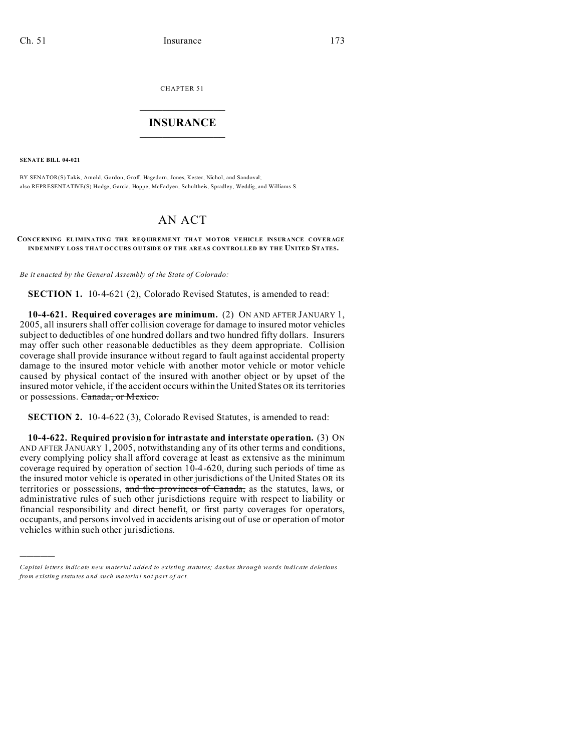CHAPTER 51

## $\overline{\phantom{a}}$  , where  $\overline{\phantom{a}}$ **INSURANCE**  $\_$   $\_$   $\_$   $\_$   $\_$   $\_$   $\_$

**SENATE BILL 04-021**

)))))

BY SENATOR(S) Takis, Arnold, Gordon, Groff, Hagedorn, Jones, Kester, Nichol, and Sandoval; also REPRESENTATIVE(S) Hodge, Garcia, Hoppe, McFadyen, Schultheis, Spradley, Weddig, and Williams S.

## AN ACT

## **CON CE RNING EL IMINATING THE REQUIREMENT THAT MOTOR VEHICLE INSURANCE COVERAGE INDEMNIFY LOSS THAT OCCURS OUTSIDE OF THE AREAS CONTROLLED BY THE UNITED STATES.**

*Be it enacted by the General Assembly of the State of Colorado:*

**SECTION 1.** 10-4-621 (2), Colorado Revised Statutes, is amended to read:

**10-4-621. Required coverages are minimum.** (2) ON AND AFTER JANUARY 1, 2005, all insurers shall offer collision coverage for damage to insured motor vehicles subject to deductibles of one hundred dollars and two hundred fifty dollars. Insurers may offer such other reasonable deductibles as they deem appropriate. Collision coverage shall provide insurance without regard to fault against accidental property damage to the insured motor vehicle with another motor vehicle or motor vehicle caused by physical contact of the insured with another object or by upset of the insured motor vehicle, if the accident occurs within the United States OR its territories or possessions. Canada, or Mexico.

**SECTION 2.** 10-4-622 (3), Colorado Revised Statutes, is amended to read:

**10-4-622. Required provision for intrastate and interstate operation.** (3) ON AND AFTER JANUARY 1, 2005, notwithstanding any of its other terms and conditions, every complying policy shall afford coverage at least as extensive as the minimum coverage required by operation of section 10-4-620, during such periods of time as the insured motor vehicle is operated in other jurisdictions of the United States OR its territories or possessions, and the provinces of Canada, as the statutes, laws, or administrative rules of such other jurisdictions require with respect to liability or financial responsibility and direct benefit, or first party coverages for operators, occupants, and persons involved in accidents arising out of use or operation of motor vehicles within such other jurisdictions.

*Capital letters indicate new material added to existing statutes; dashes through words indicate deletions from e xistin g statu tes a nd such ma teria l no t pa rt of ac t.*